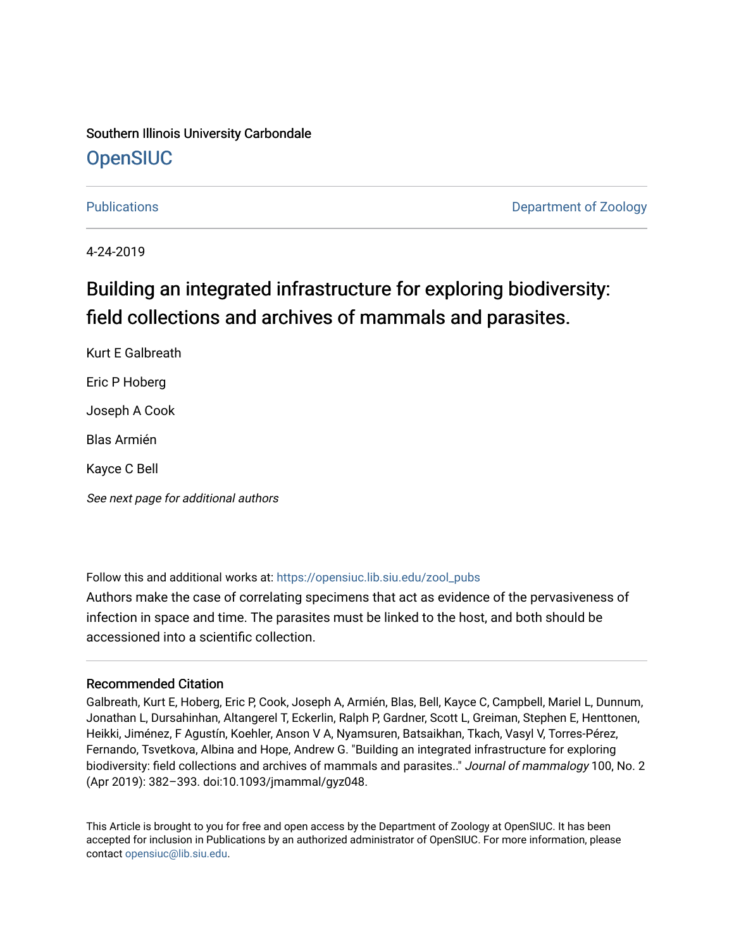## Southern Illinois University Carbondale **OpenSIUC**

[Publications](https://opensiuc.lib.siu.edu/zool_pubs) **Department of Zoology** 

4-24-2019

# Building an integrated infrastructure for exploring biodiversity: field collections and archives of mammals and parasites.

Kurt E Galbreath Eric P Hoberg Joseph A Cook Blas Armién Kayce C Bell

See next page for additional authors

Follow this and additional works at: [https://opensiuc.lib.siu.edu/zool\\_pubs](https://opensiuc.lib.siu.edu/zool_pubs?utm_source=opensiuc.lib.siu.edu%2Fzool_pubs%2F124&utm_medium=PDF&utm_campaign=PDFCoverPages) 

Authors make the case of correlating specimens that act as evidence of the pervasiveness of infection in space and time. The parasites must be linked to the host, and both should be accessioned into a scientific collection.

#### Recommended Citation

Galbreath, Kurt E, Hoberg, Eric P, Cook, Joseph A, Armién, Blas, Bell, Kayce C, Campbell, Mariel L, Dunnum, Jonathan L, Dursahinhan, Altangerel T, Eckerlin, Ralph P, Gardner, Scott L, Greiman, Stephen E, Henttonen, Heikki, Jiménez, F Agustín, Koehler, Anson V A, Nyamsuren, Batsaikhan, Tkach, Vasyl V, Torres-Pérez, Fernando, Tsvetkova, Albina and Hope, Andrew G. "Building an integrated infrastructure for exploring biodiversity: field collections and archives of mammals and parasites.." Journal of mammalogy 100, No. 2 (Apr 2019): 382–393. doi:10.1093/jmammal/gyz048.

This Article is brought to you for free and open access by the Department of Zoology at OpenSIUC. It has been accepted for inclusion in Publications by an authorized administrator of OpenSIUC. For more information, please contact [opensiuc@lib.siu.edu.](mailto:opensiuc@lib.siu.edu)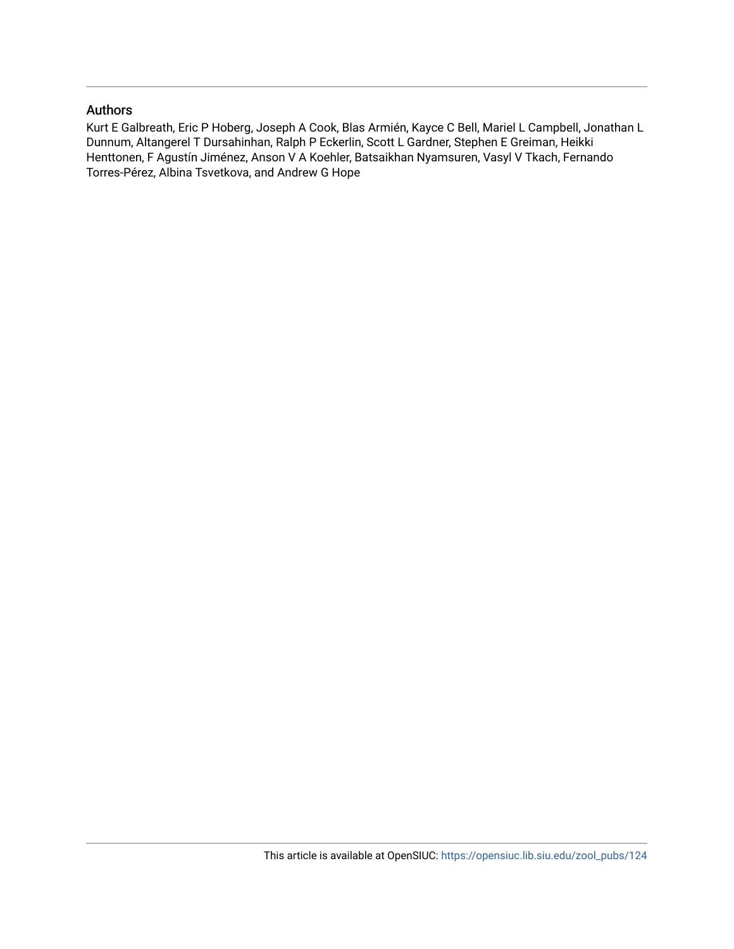### Authors

Kurt E Galbreath, Eric P Hoberg, Joseph A Cook, Blas Armién, Kayce C Bell, Mariel L Campbell, Jonathan L Dunnum, Altangerel T Dursahinhan, Ralph P Eckerlin, Scott L Gardner, Stephen E Greiman, Heikki Henttonen, F Agustín Jiménez, Anson V A Koehler, Batsaikhan Nyamsuren, Vasyl V Tkach, Fernando Torres-Pérez, Albina Tsvetkova, and Andrew G Hope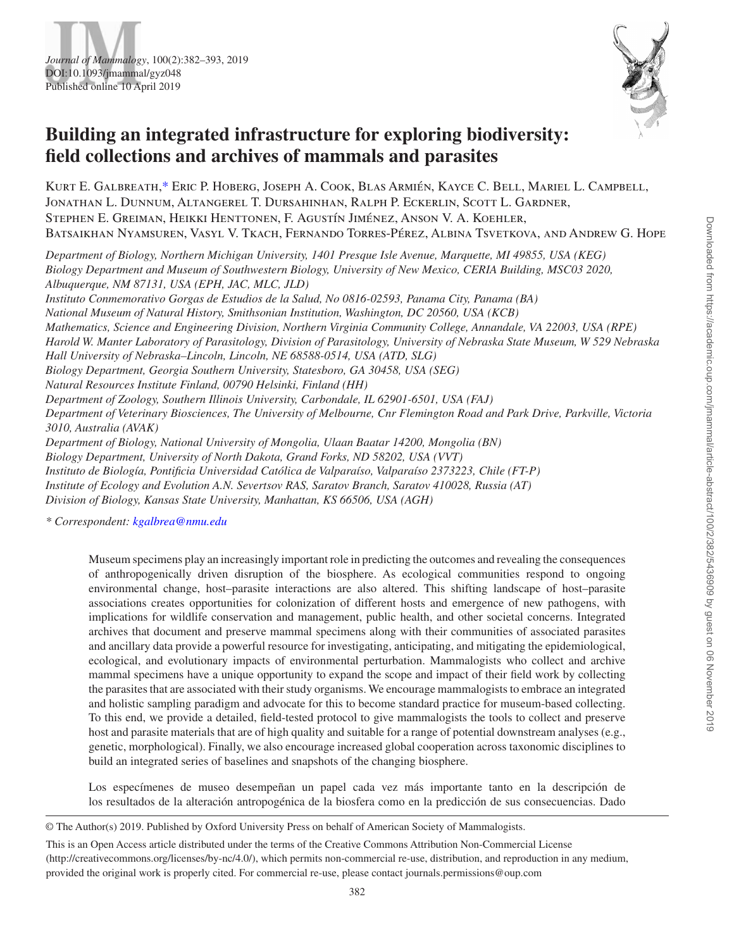



# **Building an integrated infrastructure for exploring biodiversity: field collections and archives of mammals and parasites**

Kurt E. Galbreath[,\\*](#page-2-0) Eric P. Hoberg, Joseph A. Cook, Blas Armién, Kayce C. Bell, Mariel L. Campbell, Jonathan L. Dunnum, Altangerel T. Dursahinhan, Ralph P. Eckerlin, Scott L. Gardner, Stephen E. Greiman, Heikki Henttonen, F. Agustín Jiménez, Anson V. A. Koehler, Batsaikhan Nyamsuren, Vasyl V. Tkach, Fernando Torres-Pérez, Albina Tsvetkova, and Andrew G. Hope

*Department of Biology, Northern Michigan University, 1401 Presque Isle Avenue, Marquette, MI 49855, USA (KEG) Biology Department and Museum of Southwestern Biology, University of New Mexico, CERIA Building, MSC03 2020, Albuquerque, NM 87131, USA (EPH, JAC, MLC, JLD)*

*Instituto Conmemorativo Gorgas de Estudios de la Salud, No 0816-02593, Panama City, Panama (BA) National Museum of Natural History, Smithsonian Institution, Washington, DC 20560, USA (KCB) Mathematics, Science and Engineering Division, Northern Virginia Community College, Annandale, VA 22003, USA (RPE) Harold W. Manter Laboratory of Parasitology, Division of Parasitology, University of Nebraska State Museum, W 529 Nebraska Hall University of Nebraska–Lincoln, Lincoln, NE 68588-0514, USA (ATD, SLG) Biology Department, Georgia Southern University, Statesboro, GA 30458, USA (SEG) Natural Resources Institute Finland, 00790 Helsinki, Finland (HH) Department of Zoology, Southern Illinois University, Carbondale, IL 62901-6501, USA (FAJ) Department of Veterinary Biosciences, The University of Melbourne, Cnr Flemington Road and Park Drive, Parkville, Victoria 3010, Australia (AVAK) Department of Biology, National University of Mongolia, Ulaan Baatar 14200, Mongolia (BN) Biology Department, University of North Dakota, Grand Forks, ND 58202, USA (VVT) Instituto de Biología, Pontificia Universidad Católica de Valparaíso, Valparaíso 2373223, Chile (FT-P)*

*Institute of Ecology and Evolution A.N. Severtsov RAS, Saratov Branch, Saratov 410028, Russia (AT)*

*Division of Biology, Kansas State University, Manhattan, KS 66506, USA (AGH)*

<span id="page-2-0"></span>*\* Correspondent: [kgalbrea@nmu.edu](mailto:kgalbrea@nmu.edu?subject=)*

Museum specimens play an increasingly important role in predicting the outcomes and revealing the consequences of anthropogenically driven disruption of the biosphere. As ecological communities respond to ongoing environmental change, host–parasite interactions are also altered. This shifting landscape of host–parasite associations creates opportunities for colonization of different hosts and emergence of new pathogens, with implications for wildlife conservation and management, public health, and other societal concerns. Integrated archives that document and preserve mammal specimens along with their communities of associated parasites and ancillary data provide a powerful resource for investigating, anticipating, and mitigating the epidemiological, ecological, and evolutionary impacts of environmental perturbation. Mammalogists who collect and archive mammal specimens have a unique opportunity to expand the scope and impact of their field work by collecting the parasites that are associated with their study organisms. We encourage mammalogists to embrace an integrated and holistic sampling paradigm and advocate for this to become standard practice for museum-based collecting. To this end, we provide a detailed, field-tested protocol to give mammalogists the tools to collect and preserve host and parasite materials that are of high quality and suitable for a range of potential downstream analyses (e.g., genetic, morphological). Finally, we also encourage increased global cooperation across taxonomic disciplines to build an integrated series of baselines and snapshots of the changing biosphere.

Los especímenes de museo desempeñan un papel cada vez más importante tanto en la descripción de los resultados de la alteración antropogénica de la biosfera como en la predicción de sus consecuencias. Dado

<sup>©</sup> The Author(s) 2019. Published by Oxford University Press on behalf of American Society of Mammalogists.

This is an Open Access article distributed under the terms of the Creative Commons Attribution Non-Commercial License (http://creativecommons.org/licenses/by-nc/4.0/), which permits non-commercial re-use, distribution, and reproduction in any medium, provided the original work is properly cited. For commercial re-use, please contact journals.permissions@oup.com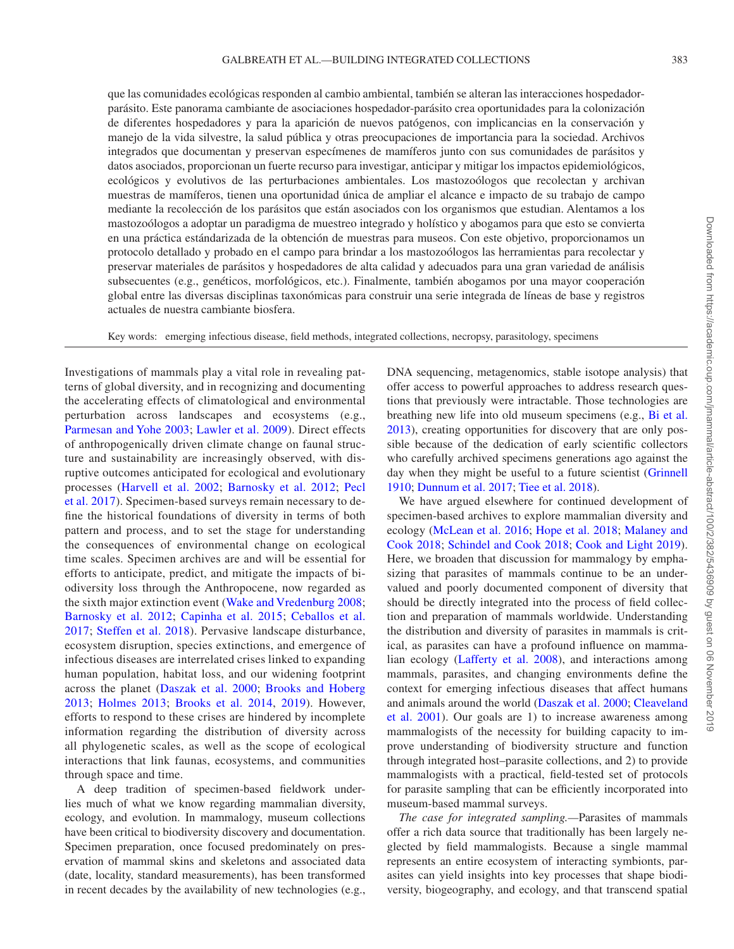que las comunidades ecológicas responden al cambio ambiental, también se alteran las interacciones hospedadorparásito. Este panorama cambiante de asociaciones hospedador-parásito crea oportunidades para la colonización de diferentes hospedadores y para la aparición de nuevos patógenos, con implicancias en la conservación y manejo de la vida silvestre, la salud pública y otras preocupaciones de importancia para la sociedad. Archivos integrados que documentan y preservan especímenes de mamíferos junto con sus comunidades de parásitos y datos asociados, proporcionan un fuerte recurso para investigar, anticipar y mitigar los impactos epidemiológicos, ecológicos y evolutivos de las perturbaciones ambientales. Los mastozoólogos que recolectan y archivan muestras de mamíferos, tienen una oportunidad única de ampliar el alcance e impacto de su trabajo de campo mediante la recolección de los parásitos que están asociados con los organismos que estudian. Alentamos a los mastozoólogos a adoptar un paradigma de muestreo integrado y holístico y abogamos para que esto se convierta en una práctica estándarizada de la obtención de muestras para museos. Con este objetivo, proporcionamos un protocolo detallado y probado en el campo para brindar a los mastozoólogos las herramientas para recolectar y preservar materiales de parásitos y hospedadores de alta calidad y adecuados para una gran variedad de análisis subsecuentes (e.g., genéticos, morfológicos, etc.). Finalmente, también abogamos por una mayor cooperación global entre las diversas disciplinas taxonómicas para construir una serie integrada de líneas de base y registros actuales de nuestra cambiante biosfera.

Key words: emerging infectious disease, field methods, integrated collections, necropsy, parasitology, specimens

Investigations of mammals play a vital role in revealing patterns of global diversity, and in recognizing and documenting the accelerating effects of climatological and environmental perturbation across landscapes and ecosystems (e.g., [Parmesan and Yohe 2003](#page-12-0); [Lawler et al. 2009\)](#page-12-1). Direct effects of anthropogenically driven climate change on faunal structure and sustainability are increasingly observed, with disruptive outcomes anticipated for ecological and evolutionary processes [\(Harvell et al. 2002;](#page-11-0) [Barnosky et al. 2012](#page-10-0); [Pecl](#page-12-2) [et al. 2017\)](#page-12-2). Specimen-based surveys remain necessary to define the historical foundations of diversity in terms of both pattern and process, and to set the stage for understanding the consequences of environmental change on ecological time scales. Specimen archives are and will be essential for efforts to anticipate, predict, and mitigate the impacts of biodiversity loss through the Anthropocene, now regarded as the sixth major extinction event ([Wake and Vredenburg 2008](#page-13-0); Barnosky et al. 2012; Capinha et al. 2015; Ceballos et al. [2017;](#page-10-2) [Steffen et al. 2018\)](#page-12-3). Pervasive landscape disturbance, ecosystem disruption, species extinctions, and emergence of infectious diseases are interrelated crises linked to expanding human population, habitat loss, and our widening footprint across the planet ([Daszak et al. 2000;](#page-10-3) [Brooks and Hoberg](#page-10-4)  [2013;](#page-10-4) [Holmes 2013;](#page-11-1) [Brooks et al. 2014,](#page-10-5) [2019](#page-10-6)). However, efforts to respond to these crises are hindered by incomplete information regarding the distribution of diversity across all phylogenetic scales, as well as the scope of ecological interactions that link faunas, ecosystems, and communities through space and time.

A deep tradition of specimen-based fieldwork underlies much of what we know regarding mammalian diversity, ecology, and evolution. In mammalogy, museum collections have been critical to biodiversity discovery and documentation. Specimen preparation, once focused predominately on preservation of mammal skins and skeletons and associated data (date, locality, standard measurements), has been transformed in recent decades by the availability of new technologies (e.g., DNA sequencing, metagenomics, stable isotope analysis) that offer access to powerful approaches to address research questions that previously were intractable. Those technologies are breathing new life into old museum specimens (e.g., [Bi et al.](#page-10-7)  [2013\)](#page-10-7), creating opportunities for discovery that are only possible because of the dedication of early scientific collectors who carefully archived specimens generations ago against the day when they might be useful to a future scientist ([Grinnell](#page-11-2) [1910;](#page-11-2) [Dunnum et al. 2017;](#page-10-8) [Tiee et al. 2018\)](#page-12-4).

We have argued elsewhere for continued development of specimen-based archives to explore mammalian diversity and ecology [\(McLean et al. 2016](#page-12-5); [Hope et al. 2018](#page-11-3); [Malaney and](#page-12-6)  [Cook 2018](#page-12-6); [Schindel and Cook 2018;](#page-12-7) [Cook and Light 2019](#page-10-9)). Here, we broaden that discussion for mammalogy by emphasizing that parasites of mammals continue to be an undervalued and poorly documented component of diversity that should be directly integrated into the process of field collection and preparation of mammals worldwide. Understanding the distribution and diversity of parasites in mammals is critical, as parasites can have a profound influence on mammalian ecology [\(Lafferty et al. 2008\)](#page-12-8), and interactions among mammals, parasites, and changing environments define the context for emerging infectious diseases that affect humans and animals around the world ([Daszak et al. 2000;](#page-10-3) [Cleaveland](#page-10-10)  et al. 2001). Our goals are 1) to increase awareness among mammalogists of the necessity for building capacity to improve understanding of biodiversity structure and function through integrated host–parasite collections, and 2) to provide mammalogists with a practical, field-tested set of protocols for parasite sampling that can be efficiently incorporated into museum-based mammal surveys.

*The case for integrated sampling.—*Parasites of mammals offer a rich data source that traditionally has been largely neglected by field mammalogists. Because a single mammal represents an entire ecosystem of interacting symbionts, parasites can yield insights into key processes that shape biodiversity, biogeography, and ecology, and that transcend spatial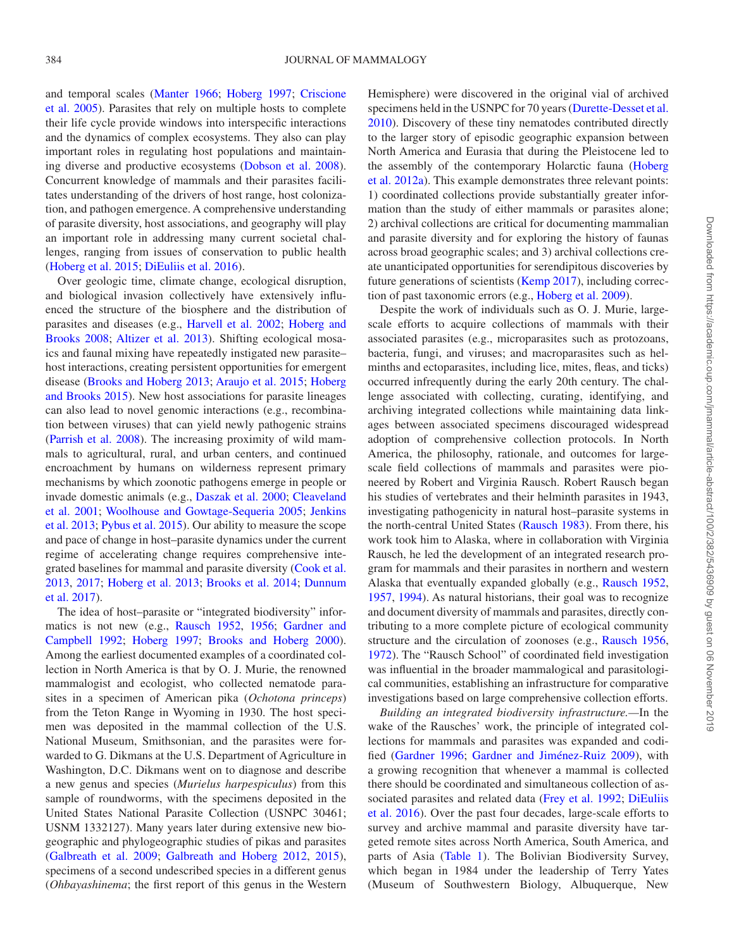and temporal scales ([Manter 1966;](#page-12-9) [Hoberg 1997](#page-11-4); [Criscione](#page-10-11) [et al. 2005\)](#page-10-11). Parasites that rely on multiple hosts to complete their life cycle provide windows into interspecific interactions and the dynamics of complex ecosystems. They also can play important roles in regulating host populations and maintaining diverse and productive ecosystems ([Dobson et al. 2008](#page-10-12)). Concurrent knowledge of mammals and their parasites facilitates understanding of the drivers of host range, host colonization, and pathogen emergence. A comprehensive understanding of parasite diversity, host associations, and geography will play an important role in addressing many current societal challenges, ranging from issues of conservation to public health [\(Hoberg et al. 2015;](#page-11-5) [DiEuliis et al. 2016\)](#page-10-13).

Over geologic time, climate change, ecological disruption, and biological invasion collectively have extensively influenced the structure of the biosphere and the distribution of parasites and diseases (e.g., [Harvell et al. 2002](#page-11-0); [Hoberg and](#page-11-6) [Brooks 2008;](#page-11-6) [Altizer et al. 2013\)](#page-10-14). Shifting ecological mosaics and faunal mixing have repeatedly instigated new parasite– host interactions, creating persistent opportunities for emergent disease [\(Brooks and Hoberg 2013;](#page-10-4) [Araujo et al. 2015;](#page-10-15) [Hoberg](#page-11-7) [and Brooks 2015\)](#page-11-7). New host associations for parasite lineages can also lead to novel genomic interactions (e.g., recombination between viruses) that can yield newly pathogenic strains [\(Parrish et al. 2008\)](#page-12-10). The increasing proximity of wild mammals to agricultural, rural, and urban centers, and continued encroachment by humans on wilderness represent primary mechanisms by which zoonotic pathogens emerge in people or invade domestic animals (e.g., [Daszak et al. 2000;](#page-10-3) [Cleaveland](#page-10-10) [et al. 2001](#page-10-10); [Woolhouse and Gowtage-Sequeria 2005;](#page-13-1) [Jenkins](#page-11-8)  [et al. 2013](#page-11-8); [Pybus et al. 2015](#page-12-11)). Our ability to measure the scope and pace of change in host–parasite dynamics under the current regime of accelerating change requires comprehensive integrated baselines for mammal and parasite diversity ([Cook et al.](#page-10-16) [2013,](#page-10-16) [2017;](#page-10-17) [Hoberg et al. 2013](#page-11-9); [Brooks et al. 2014;](#page-10-5) [Dunnum](#page-10-8)  [et al. 2017\)](#page-10-8).

The idea of host–parasite or "integrated biodiversity" informatics is not new (e.g., [Rausch 1952,](#page-12-12) [1956;](#page-12-13) [Gardner and](#page-11-10)  [Campbell 1992](#page-11-10); [Hoberg 1997;](#page-11-4) [Brooks and Hoberg 2000](#page-10-18)). Among the earliest documented examples of a coordinated collection in North America is that by O. J. Murie, the renowned mammalogist and ecologist, who collected nematode parasites in a specimen of American pika (*Ochotona princeps*) from the Teton Range in Wyoming in 1930. The host specimen was deposited in the mammal collection of the U.S. National Museum, Smithsonian, and the parasites were forwarded to G. Dikmans at the U.S. Department of Agriculture in Washington, D.C. Dikmans went on to diagnose and describe a new genus and species (*Murielus harpespiculus*) from this sample of roundworms, with the specimens deposited in the United States National Parasite Collection (USNPC 30461; USNM 1332127). Many years later during extensive new biogeographic and phylogeographic studies of pikas and parasites [\(Galbreath et al. 2009](#page-11-11); [Galbreath and Hoberg 2012](#page-11-12), [2015](#page-11-13)), specimens of a second undescribed species in a different genus (*Ohbayashinema*; the first report of this genus in the Western Hemisphere) were discovered in the original vial of archived specimens held in the USNPC for 70 years ([Durette-Desset et al.](#page-10-19) [2010\)](#page-10-19). Discovery of these tiny nematodes contributed directly to the larger story of episodic geographic expansion between North America and Eurasia that during the Pleistocene led to the assembly of the contemporary Holarctic fauna [\(Hoberg](#page-11-14) [et al. 2012a\)](#page-11-14). This example demonstrates three relevant points: 1) coordinated collections provide substantially greater information than the study of either mammals or parasites alone; 2) archival collections are critical for documenting mammalian and parasite diversity and for exploring the history of faunas across broad geographic scales; and 3) archival collections create unanticipated opportunities for serendipitous discoveries by future generations of scientists ([Kemp 2017](#page-12-14)), including correction of past taxonomic errors (e.g., [Hoberg et al. 2009](#page-11-15)).

Despite the work of individuals such as O. J. Murie, largescale efforts to acquire collections of mammals with their associated parasites (e.g., microparasites such as protozoans, bacteria, fungi, and viruses; and macroparasites such as helminths and ectoparasites, including lice, mites, fleas, and ticks) occurred infrequently during the early 20th century. The challenge associated with collecting, curating, identifying, and archiving integrated collections while maintaining data linkages between associated specimens discouraged widespread adoption of comprehensive collection protocols. In North America, the philosophy, rationale, and outcomes for largescale field collections of mammals and parasites were pioneered by Robert and Virginia Rausch. Robert Rausch began his studies of vertebrates and their helminth parasites in 1943, investigating pathogenicity in natural host–parasite systems in the north-central United States [\(Rausch 1983](#page-12-15)). From there, his work took him to Alaska, where in collaboration with Virginia Rausch, he led the development of an integrated research program for mammals and their parasites in northern and western Alaska that eventually expanded globally (e.g., [Rausch 1952,](#page-12-12) [1957,](#page-12-16) [1994](#page-12-17)). As natural historians, their goal was to recognize and document diversity of mammals and parasites, directly contributing to a more complete picture of ecological community structure and the circulation of zoonoses (e.g., [Rausch 1956,](#page-12-13) [1972\)](#page-12-18). The "Rausch School" of coordinated field investigation was influential in the broader mammalogical and parasitological communities, establishing an infrastructure for comparative investigations based on large comprehensive collection efforts.

*Building an integrated biodiversity infrastructure.—*In the wake of the Rausches' work, the principle of integrated collections for mammals and parasites was expanded and codified ([Gardner 1996](#page-11-16); [Gardner and Jiménez-Ruiz 2009\)](#page-11-17), with a growing recognition that whenever a mammal is collected there should be coordinated and simultaneous collection of as-sociated parasites and related data [\(Frey et al. 1992](#page-10-20); DiEuliis [et al. 2016](#page-10-13)). Over the past four decades, large-scale efforts to survey and archive mammal and parasite diversity have targeted remote sites across North America, South America, and parts of Asia ([Table 1\)](#page-5-0). The Bolivian Biodiversity Survey, which began in 1984 under the leadership of Terry Yates (Museum of Southwestern Biology, Albuquerque, New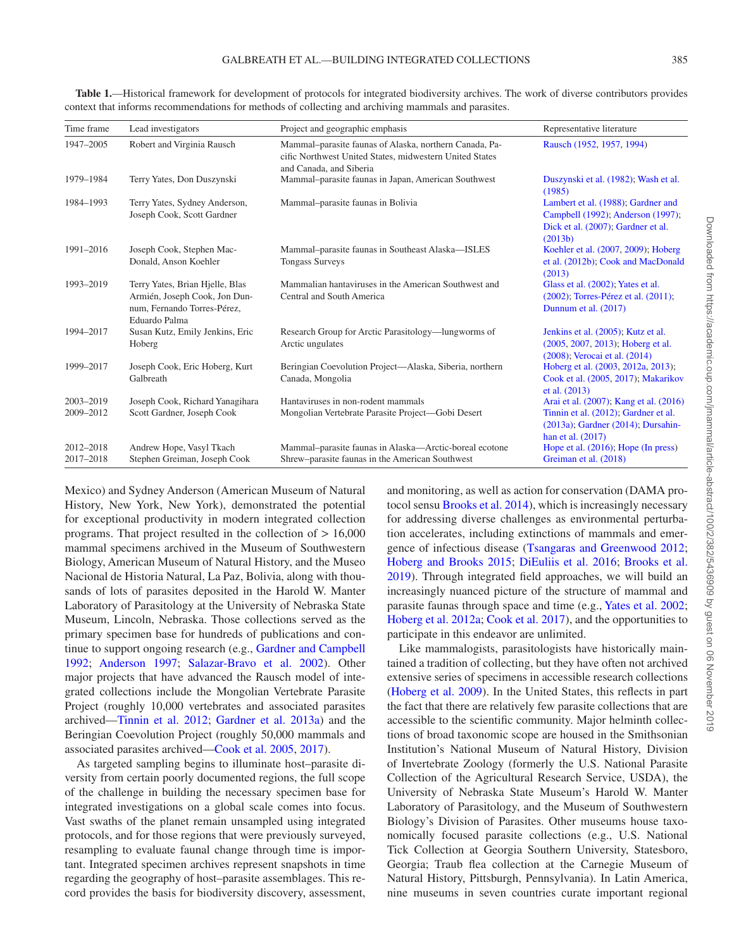| Time frame             | Lead investigators                                                                                               | Project and geographic emphasis                                                                                                              | Representative literature                                                                                                                         |
|------------------------|------------------------------------------------------------------------------------------------------------------|----------------------------------------------------------------------------------------------------------------------------------------------|---------------------------------------------------------------------------------------------------------------------------------------------------|
| 1947-2005              | Robert and Virginia Rausch                                                                                       | Mammal-parasite faunas of Alaska, northern Canada, Pa-<br>cific Northwest United States, midwestern United States<br>and Canada, and Siberia | Rausch (1952, 1957, 1994)                                                                                                                         |
| 1979-1984              | Terry Yates, Don Duszynski                                                                                       | Mammal-parasite faunas in Japan, American Southwest                                                                                          | Duszynski et al. (1982); Wash et al.<br>(1985)                                                                                                    |
| 1984-1993              | Terry Yates, Sydney Anderson,<br>Joseph Cook, Scott Gardner                                                      | Mammal-parasite faunas in Bolivia                                                                                                            | Lambert et al. (1988); Gardner and<br>Campbell (1992); Anderson (1997);<br>Dick et al. (2007); Gardner et al.<br>(2013b)                          |
| 1991-2016              | Joseph Cook, Stephen Mac-<br>Donald, Anson Koehler                                                               | Mammal-parasite faunas in Southeast Alaska-ISLES<br><b>Tongass Surveys</b>                                                                   | Koehler et al. (2007, 2009); Hoberg<br>et al. (2012b); Cook and MacDonald<br>(2013)                                                               |
| 1993-2019              | Terry Yates, Brian Hielle, Blas<br>Armién, Joseph Cook, Jon Dun-<br>num, Fernando Torres-Pérez,<br>Eduardo Palma | Mammalian hantaviruses in the American Southwest and<br>Central and South America                                                            | Glass et al. (2002); Yates et al.<br>$(2002)$ ; Torres-Pérez et al. $(2011)$ ;<br>Dunnum et al. (2017)                                            |
| 1994-2017              | Susan Kutz, Emily Jenkins, Eric<br>Hoberg                                                                        | Research Group for Arctic Parasitology—lungworms of<br>Arctic ungulates                                                                      | Jenkins et al. (2005); Kutz et al.<br>(2005, 2007, 2013); Hoberg et al.<br>(2008); Verocai et al. (2014)                                          |
| 1999-2017              | Joseph Cook, Eric Hoberg, Kurt<br>Galbreath                                                                      | Beringian Coevolution Project—Alaska, Siberia, northern<br>Canada, Mongolia                                                                  | Hoberg et al. (2003, 2012a, 2013);<br>Cook et al. (2005, 2017); Makarikov<br>et al. (2013)                                                        |
| 2003-2019<br>2009-2012 | Joseph Cook, Richard Yanagihara<br>Scott Gardner, Joseph Cook                                                    | Hantaviruses in non-rodent mammals<br>Mongolian Vertebrate Parasite Project—Gobi Desert                                                      | Arai et al. (2007); Kang et al. (2016)<br>Tinnin et al. (2012); Gardner et al.<br>$(2013a)$ ; Gardner $(2014)$ ; Dursahin-<br>han et al. $(2017)$ |
| 2012-2018<br>2017-2018 | Andrew Hope, Vasyl Tkach<br>Stephen Greiman, Joseph Cook                                                         | Mammal-parasite faunas in Alaska-Arctic-boreal ecotone<br>Shrew-parasite faunas in the American Southwest                                    | Hope et al. $(2016)$ ; Hope (In press)<br>Greiman et al. (2018)                                                                                   |

<span id="page-5-0"></span>**Table 1.**—Historical framework for development of protocols for integrated biodiversity archives. The work of diverse contributors provides context that informs recommendations for methods of collecting and archiving mammals and parasites.

Mexico) and Sydney Anderson (American Museum of Natural History, New York, New York), demonstrated the potential for exceptional productivity in modern integrated collection programs. That project resulted in the collection of > 16,000 mammal specimens archived in the Museum of Southwestern Biology, American Museum of Natural History, and the Museo Nacional de Historia Natural, La Paz, Bolivia, along with thousands of lots of parasites deposited in the Harold W. Manter Laboratory of Parasitology at the University of Nebraska State Museum, Lincoln, Nebraska. Those collections served as the primary specimen base for hundreds of publications and continue to support ongoing research (e.g., [Gardner and Campbell](#page-11-10) [1992](#page-11-10); [Anderson 1997;](#page-10-21) [Salazar-Bravo et al. 2002\)](#page-12-19). Other major projects that have advanced the Rausch model of integrated collections include the Mongolian Vertebrate Parasite Project (roughly 10,000 vertebrates and associated parasites archived[—Tinnin et al. 2012;](#page-12-20) [Gardner et al. 2013a\)](#page-11-18) and the Beringian Coevolution Project (roughly 50,000 mammals and associated parasites archived[—Cook et al. 2005](#page-10-22), [2017](#page-10-17)).

As targeted sampling begins to illuminate host–parasite diversity from certain poorly documented regions, the full scope of the challenge in building the necessary specimen base for integrated investigations on a global scale comes into focus. Vast swaths of the planet remain unsampled using integrated protocols, and for those regions that were previously surveyed, resampling to evaluate faunal change through time is important. Integrated specimen archives represent snapshots in time regarding the geography of host–parasite assemblages. This record provides the basis for biodiversity discovery, assessment, and monitoring, as well as action for conservation (DAMA protocol sensu [Brooks et al. 2014](#page-10-5)), which is increasingly necessary for addressing diverse challenges as environmental perturbation accelerates, including extinctions of mammals and emergence of infectious disease ([Tsangaras and Greenwood 2012](#page-12-21); [Hoberg and Brooks 2015](#page-11-7); [DiEuliis et al. 2016;](#page-10-13) [Brooks et al.](#page-10-6) [2019](#page-10-6)). Through integrated field approaches, we will build an increasingly nuanced picture of the structure of mammal and parasite faunas through space and time (e.g., [Yates et al. 2002](#page-13-2); [Hoberg et al. 2012a](#page-11-14); [Cook et al. 2017\)](#page-10-17), and the opportunities to participate in this endeavor are unlimited.

Like mammalogists, parasitologists have historically maintained a tradition of collecting, but they have often not archived extensive series of specimens in accessible research collections [\(Hoberg et al. 2009](#page-11-15)). In the United States, this reflects in part the fact that there are relatively few parasite collections that are accessible to the scientific community. Major helminth collections of broad taxonomic scope are housed in the Smithsonian Institution's National Museum of Natural History, Division of Invertebrate Zoology (formerly the U.S. National Parasite Collection of the Agricultural Research Service, USDA), the University of Nebraska State Museum's Harold W. Manter Laboratory of Parasitology, and the Museum of Southwestern Biology's Division of Parasites. Other museums house taxonomically focused parasite collections (e.g., U.S. National Tick Collection at Georgia Southern University, Statesboro, Georgia; Traub flea collection at the Carnegie Museum of Natural History, Pittsburgh, Pennsylvania). In Latin America, nine museums in seven countries curate important regional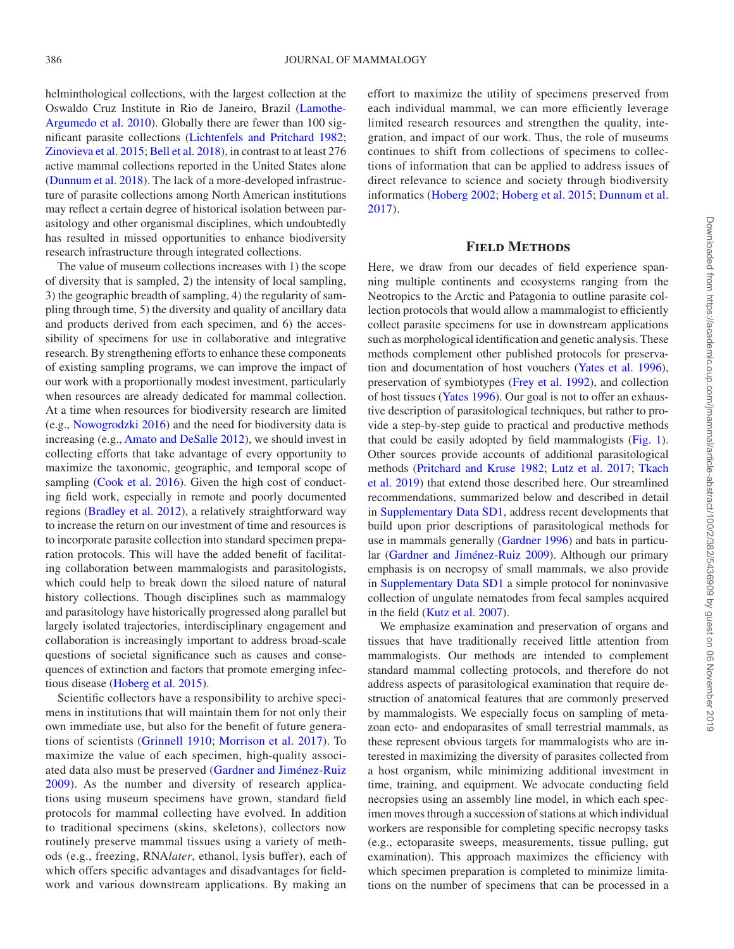helminthological collections, with the largest collection at the Oswaldo Cruz Institute in Rio de Janeiro, Brazil [\(Lamothe-](#page-12-30)[Argumedo et al. 2010](#page-12-30)). Globally there are fewer than 100 significant parasite collections ([Lichtenfels and Pritchard 1982](#page-12-31); [Zinovieva et al. 2015](#page-13-5); [Bell et al. 2018](#page-10-28)), in contrast to at least 276 active mammal collections reported in the United States alone [\(Dunnum et al. 2018\)](#page-10-29). The lack of a more-developed infrastructure of parasite collections among North American institutions may reflect a certain degree of historical isolation between parasitology and other organismal disciplines, which undoubtedly has resulted in missed opportunities to enhance biodiversity research infrastructure through integrated collections.

The value of museum collections increases with 1) the scope of diversity that is sampled, 2) the intensity of local sampling, 3) the geographic breadth of sampling, 4) the regularity of sampling through time, 5) the diversity and quality of ancillary data and products derived from each specimen, and 6) the accessibility of specimens for use in collaborative and integrative research. By strengthening efforts to enhance these components of existing sampling programs, we can improve the impact of our work with a proportionally modest investment, particularly when resources are already dedicated for mammal collection. At a time when resources for biodiversity research are limited (e.g., [Nowogrodzki 2016](#page-12-32)) and the need for biodiversity data is increasing (e.g., [Amato and DeSalle 2012](#page-10-30)), we should invest in collecting efforts that take advantage of every opportunity to maximize the taxonomic, geographic, and temporal scope of sampling [\(Cook et al. 2016\)](#page-10-31). Given the high cost of conducting field work, especially in remote and poorly documented regions ([Bradley et al. 2012](#page-10-32)), a relatively straightforward way to increase the return on our investment of time and resources is to incorporate parasite collection into standard specimen preparation protocols. This will have the added benefit of facilitating collaboration between mammalogists and parasitologists, which could help to break down the siloed nature of natural history collections. Though disciplines such as mammalogy and parasitology have historically progressed along parallel but largely isolated trajectories, interdisciplinary engagement and collaboration is increasingly important to address broad-scale questions of societal significance such as causes and consequences of extinction and factors that promote emerging infectious disease ([Hoberg et al. 2015\)](#page-11-5).

Scientific collectors have a responsibility to archive specimens in institutions that will maintain them for not only their own immediate use, but also for the benefit of future generations of scientists [\(Grinnell 1910;](#page-11-2) [Morrison et al. 2017](#page-12-33)). To maximize the value of each specimen, high-quality associated data also must be preserved [\(Gardner and Jiménez-Ruiz](#page-11-17) [2009\)](#page-11-17). As the number and diversity of research applications using museum specimens have grown, standard field protocols for mammal collecting have evolved. In addition to traditional specimens (skins, skeletons), collectors now routinely preserve mammal tissues using a variety of methods (e.g., freezing, RNA*later*, ethanol, lysis buffer), each of which offers specific advantages and disadvantages for fieldwork and various downstream applications. By making an effort to maximize the utility of specimens preserved from each individual mammal, we can more efficiently leverage limited research resources and strengthen the quality, integration, and impact of our work. Thus, the role of museums continues to shift from collections of specimens to collections of information that can be applied to address issues of direct relevance to science and society through biodiversity informatics ([Hoberg 2002;](#page-11-29) [Hoberg et al. 2015;](#page-11-5) [Dunnum et al.](#page-10-8)  [2017\)](#page-10-8).

#### **Field Methods**

Here, we draw from our decades of field experience spanning multiple continents and ecosystems ranging from the Neotropics to the Arctic and Patagonia to outline parasite collection protocols that would allow a mammalogist to efficiently collect parasite specimens for use in downstream applications such as morphological identification and genetic analysis. These methods complement other published protocols for preservation and documentation of host vouchers ([Yates et al. 1996](#page-13-6)), preservation of symbiotypes ([Frey et al. 1992](#page-10-20)), and collection of host tissues [\(Yates 1996](#page-13-6)). Our goal is not to offer an exhaustive description of parasitological techniques, but rather to provide a step-by-step guide to practical and productive methods that could be easily adopted by field mammalogists ([Fig. 1](#page-7-0)). Other sources provide accounts of additional parasitological methods ([Pritchard and Kruse 1982;](#page-12-34) [Lutz et al. 2017;](#page-12-35) [Tkach](#page-12-36) [et al. 2019](#page-12-36)) that extend those described here. Our streamlined recommendations, summarized below and described in detail in Supplementary Data SD1, address recent developments that build upon prior descriptions of parasitological methods for use in mammals generally ([Gardner 1996](#page-11-16)) and bats in particular ([Gardner and Jiménez-Ruiz 2009](#page-11-17)). Although our primary emphasis is on necropsy of small mammals, we also provide in Supplementary Data SD1 a simple protocol for noninvasive collection of ungulate nematodes from fecal samples acquired in the field ([Kutz et al. 2007](#page-12-27)).

We emphasize examination and preservation of organs and tissues that have traditionally received little attention from mammalogists. Our methods are intended to complement standard mammal collecting protocols, and therefore do not address aspects of parasitological examination that require destruction of anatomical features that are commonly preserved by mammalogists. We especially focus on sampling of metazoan ecto- and endoparasites of small terrestrial mammals, as these represent obvious targets for mammalogists who are interested in maximizing the diversity of parasites collected from a host organism, while minimizing additional investment in time, training, and equipment. We advocate conducting field necropsies using an assembly line model, in which each specimen moves through a succession of stations at which individual workers are responsible for completing specific necropsy tasks (e.g., ectoparasite sweeps, measurements, tissue pulling, gut examination). This approach maximizes the efficiency with which specimen preparation is completed to minimize limitations on the number of specimens that can be processed in a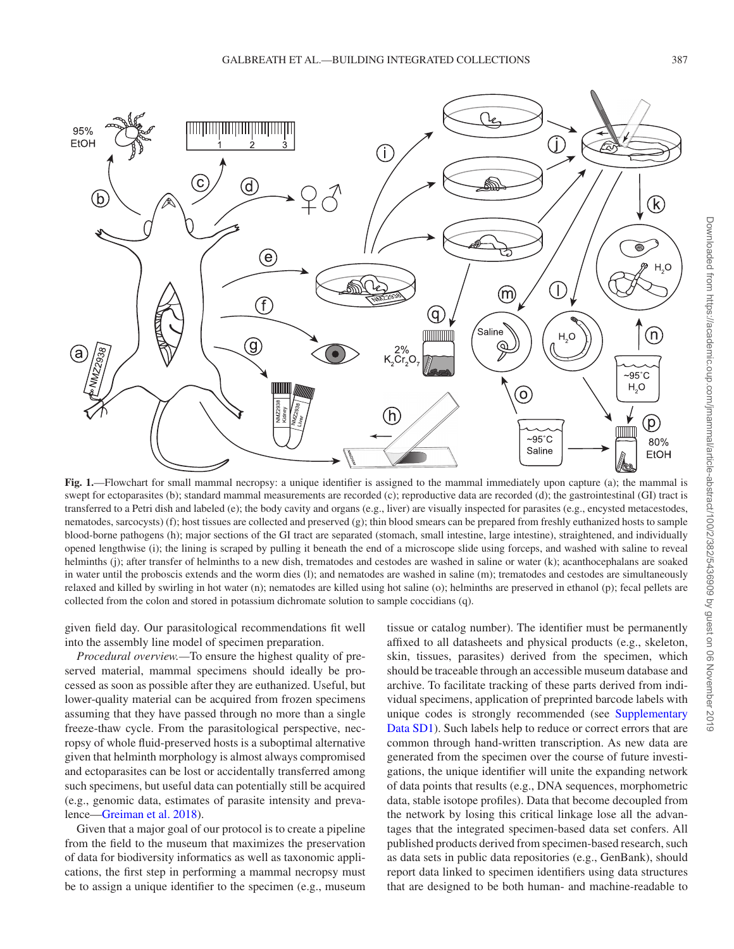

<span id="page-7-0"></span>**Fig. 1.**—Flowchart for small mammal necropsy: a unique identifier is assigned to the mammal immediately upon capture (a); the mammal is swept for ectoparasites (b); standard mammal measurements are recorded (c); reproductive data are recorded (d); the gastrointestinal (GI) tract is transferred to a Petri dish and labeled (e); the body cavity and organs (e.g., liver) are visually inspected for parasites (e.g., encysted metacestodes, nematodes, sarcocysts) (f); host tissues are collected and preserved (g); thin blood smears can be prepared from freshly euthanized hosts to sample blood-borne pathogens (h); major sections of the GI tract are separated (stomach, small intestine, large intestine), straightened, and individually opened lengthwise (i); the lining is scraped by pulling it beneath the end of a microscope slide using forceps, and washed with saline to reveal helminths (j); after transfer of helminths to a new dish, trematodes and cestodes are washed in saline or water (k); acanthocephalans are soaked in water until the proboscis extends and the worm dies (l); and nematodes are washed in saline (m); trematodes and cestodes are simultaneously relaxed and killed by swirling in hot water (n); nematodes are killed using hot saline (o); helminths are preserved in ethanol (p); fecal pellets are collected from the colon and stored in potassium dichromate solution to sample coccidians (q).

given field day. Our parasitological recommendations fit well into the assembly line model of specimen preparation.

*Procedural overview.—*To ensure the highest quality of preserved material, mammal specimens should ideally be processed as soon as possible after they are euthanized. Useful, but lower-quality material can be acquired from frozen specimens assuming that they have passed through no more than a single freeze-thaw cycle. From the parasitological perspective, necropsy of whole fluid-preserved hosts is a suboptimal alternative given that helminth morphology is almost always compromised and ectoparasites can be lost or accidentally transferred among such specimens, but useful data can potentially still be acquired (e.g., genomic data, estimates of parasite intensity and prevalence[—Greiman et al. 2018\)](#page-11-28).

Given that a major goal of our protocol is to create a pipeline from the field to the museum that maximizes the preservation of data for biodiversity informatics as well as taxonomic applications, the first step in performing a mammal necropsy must be to assign a unique identifier to the specimen (e.g., museum

tissue or catalog number). The identifier must be permanently affixed to all datasheets and physical products (e.g., skeleton, skin, tissues, parasites) derived from the specimen, which should be traceable through an accessible museum database and archive. To facilitate tracking of these parts derived from individual specimens, application of preprinted barcode labels with unique codes is strongly recommended (see Supplementary Data SD1). Such labels help to reduce or correct errors that are common through hand-written transcription. As new data are generated from the specimen over the course of future investigations, the unique identifier will unite the expanding network of data points that results (e.g., DNA sequences, morphometric data, stable isotope profiles). Data that become decoupled from the network by losing this critical linkage lose all the advantages that the integrated specimen-based data set confers. All published products derived from specimen-based research, such as data sets in public data repositories (e.g., GenBank), should report data linked to specimen identifiers using data structures that are designed to be both human- and machine-readable to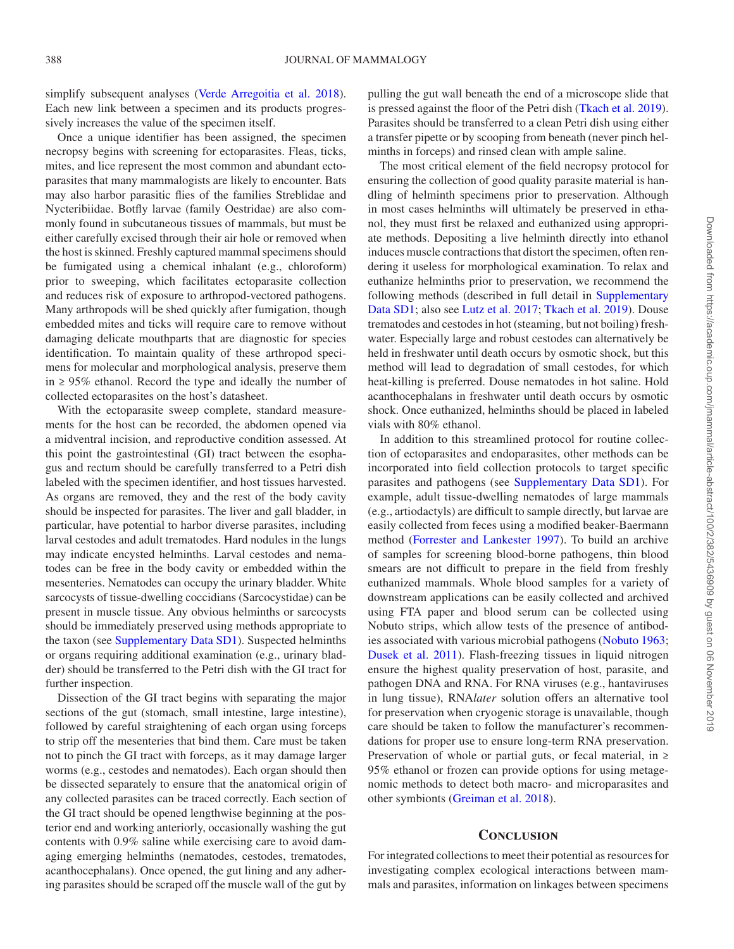simplify subsequent analyses (Verde Arregoitia et al. 2018). Each new link between a specimen and its products progressively increases the value of the specimen itself.

Once a unique identifier has been assigned, the specimen necropsy begins with screening for ectoparasites. Fleas, ticks, mites, and lice represent the most common and abundant ectoparasites that many mammalogists are likely to encounter. Bats may also harbor parasitic flies of the families Streblidae and Nycteribiidae. Botfly larvae (family Oestridae) are also commonly found in subcutaneous tissues of mammals, but must be either carefully excised through their air hole or removed when the host is skinned. Freshly captured mammal specimens should be fumigated using a chemical inhalant (e.g., chloroform) prior to sweeping, which facilitates ectoparasite collection and reduces risk of exposure to arthropod-vectored pathogens. Many arthropods will be shed quickly after fumigation, though embedded mites and ticks will require care to remove without damaging delicate mouthparts that are diagnostic for species identification. To maintain quality of these arthropod specimens for molecular and morphological analysis, preserve them in ≥ 95% ethanol. Record the type and ideally the number of collected ectoparasites on the host's datasheet.

With the ectoparasite sweep complete, standard measurements for the host can be recorded, the abdomen opened via a midventral incision, and reproductive condition assessed. At this point the gastrointestinal (GI) tract between the esophagus and rectum should be carefully transferred to a Petri dish labeled with the specimen identifier, and host tissues harvested. As organs are removed, they and the rest of the body cavity should be inspected for parasites. The liver and gall bladder, in particular, have potential to harbor diverse parasites, including larval cestodes and adult trematodes. Hard nodules in the lungs may indicate encysted helminths. Larval cestodes and nematodes can be free in the body cavity or embedded within the mesenteries. Nematodes can occupy the urinary bladder. White sarcocysts of tissue-dwelling coccidians (Sarcocystidae) can be present in muscle tissue. Any obvious helminths or sarcocysts should be immediately preserved using methods appropriate to the taxon (see Supplementary Data SD1). Suspected helminths or organs requiring additional examination (e.g., urinary bladder) should be transferred to the Petri dish with the GI tract for further inspection.

Dissection of the GI tract begins with separating the major sections of the gut (stomach, small intestine, large intestine), followed by careful straightening of each organ using forceps to strip off the mesenteries that bind them. Care must be taken not to pinch the GI tract with forceps, as it may damage larger worms (e.g., cestodes and nematodes). Each organ should then be dissected separately to ensure that the anatomical origin of any collected parasites can be traced correctly. Each section of the GI tract should be opened lengthwise beginning at the posterior end and working anteriorly, occasionally washing the gut contents with 0.9% saline while exercising care to avoid damaging emerging helminths (nematodes, cestodes, trematodes, acanthocephalans). Once opened, the gut lining and any adhering parasites should be scraped off the muscle wall of the gut by pulling the gut wall beneath the end of a microscope slide that is pressed against the floor of the Petri dish [\(Tkach et al. 2019](#page-12-36)). Parasites should be transferred to a clean Petri dish using either a transfer pipette or by scooping from beneath (never pinch helminths in forceps) and rinsed clean with ample saline.

The most critical element of the field necropsy protocol for ensuring the collection of good quality parasite material is handling of helminth specimens prior to preservation. Although in most cases helminths will ultimately be preserved in ethanol, they must first be relaxed and euthanized using appropriate methods. Depositing a live helminth directly into ethanol induces muscle contractions that distort the specimen, often rendering it useless for morphological examination. To relax and euthanize helminths prior to preservation, we recommend the following methods (described in full detail in Supplementary Data SD1; also see [Lutz et al. 2017;](#page-12-35) [Tkach et al. 2019\)](#page-12-36). Douse trematodes and cestodes in hot (steaming, but not boiling) freshwater. Especially large and robust cestodes can alternatively be held in freshwater until death occurs by osmotic shock, but this method will lead to degradation of small cestodes, for which heat-killing is preferred. Douse nematodes in hot saline. Hold acanthocephalans in freshwater until death occurs by osmotic shock. Once euthanized, helminths should be placed in labeled vials with 80% ethanol.

In addition to this streamlined protocol for routine collection of ectoparasites and endoparasites, other methods can be incorporated into field collection protocols to target specific parasites and pathogens (see Supplementary Data SD1). For example, adult tissue-dwelling nematodes of large mammals (e.g., artiodactyls) are difficult to sample directly, but larvae are easily collected from feces using a modified beaker-Baermann method ([Forrester and Lankester 1997](#page-10-33)). To build an archive of samples for screening blood-borne pathogens, thin blood smears are not difficult to prepare in the field from freshly euthanized mammals. Whole blood samples for a variety of downstream applications can be easily collected and archived using FTA paper and blood serum can be collected using Nobuto strips, which allow tests of the presence of antibodies associated with various microbial pathogens ([Nobuto 1963](#page-12-38); [Dusek et al. 2011\)](#page-10-34). Flash-freezing tissues in liquid nitrogen ensure the highest quality preservation of host, parasite, and pathogen DNA and RNA. For RNA viruses (e.g., hantaviruses in lung tissue), RNA*later* solution offers an alternative tool for preservation when cryogenic storage is unavailable, though care should be taken to follow the manufacturer's recommendations for proper use to ensure long-term RNA preservation. Preservation of whole or partial guts, or fecal material, in  $\geq$ 95% ethanol or frozen can provide options for using metagenomic methods to detect both macro- and microparasites and other symbionts ([Greiman et al. 2018](#page-11-28)).

#### **CONCLUSION**

For integrated collections to meet their potential as resources for investigating complex ecological interactions between mammals and parasites, information on linkages between specimens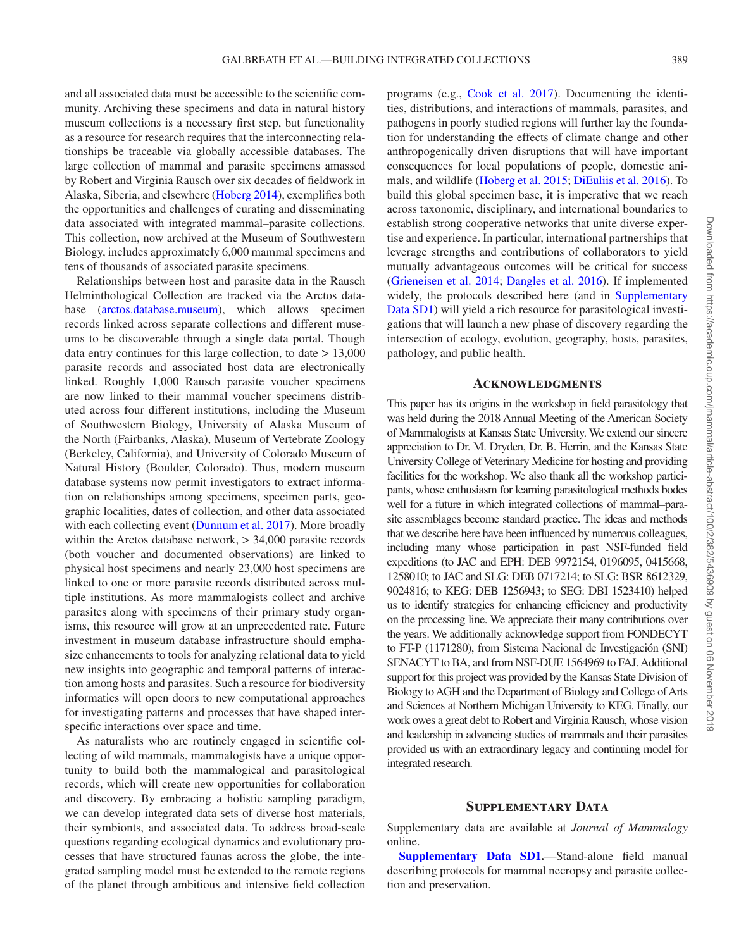and all associated data must be accessible to the scientific community. Archiving these specimens and data in natural history museum collections is a necessary first step, but functionality as a resource for research requires that the interconnecting relationships be traceable via globally accessible databases. The large collection of mammal and parasite specimens amassed by Robert and Virginia Rausch over six decades of fieldwork in Alaska, Siberia, and elsewhere [\(Hoberg 2014\)](#page-11-30), exemplifies both the opportunities and challenges of curating and disseminating data associated with integrated mammal–parasite collections. This collection, now archived at the Museum of Southwestern Biology, includes approximately 6,000 mammal specimens and tens of thousands of associated parasite specimens.

Relationships between host and parasite data in the Rausch Helminthological Collection are tracked via the Arctos database (arctos.database.museum), which allows specimen records linked across separate collections and different museums to be discoverable through a single data portal. Though data entry continues for this large collection, to date > 13,000 parasite records and associated host data are electronically linked. Roughly 1,000 Rausch parasite voucher specimens are now linked to their mammal voucher specimens distributed across four different institutions, including the Museum of Southwestern Biology, University of Alaska Museum of the North (Fairbanks, Alaska), Museum of Vertebrate Zoology (Berkeley, California), and University of Colorado Museum of Natural History (Boulder, Colorado). Thus, modern museum database systems now permit investigators to extract information on relationships among specimens, specimen parts, geographic localities, dates of collection, and other data associated with each collecting event [\(Dunnum et al. 2017](#page-10-8)). More broadly within the Arctos database network, > 34,000 parasite records (both voucher and documented observations) are linked to physical host specimens and nearly 23,000 host specimens are linked to one or more parasite records distributed across multiple institutions. As more mammalogists collect and archive parasites along with specimens of their primary study organisms, this resource will grow at an unprecedented rate. Future investment in museum database infrastructure should emphasize enhancements to tools for analyzing relational data to yield new insights into geographic and temporal patterns of interaction among hosts and parasites. Such a resource for biodiversity informatics will open doors to new computational approaches for investigating patterns and processes that have shaped interspecific interactions over space and time.

As naturalists who are routinely engaged in scientific collecting of wild mammals, mammalogists have a unique opportunity to build both the mammalogical and parasitological records, which will create new opportunities for collaboration and discovery. By embracing a holistic sampling paradigm, we can develop integrated data sets of diverse host materials, their symbionts, and associated data. To address broad-scale questions regarding ecological dynamics and evolutionary processes that have structured faunas across the globe, the integrated sampling model must be extended to the remote regions of the planet through ambitious and intensive field collection

programs (e.g., [Cook et al. 2017\)](#page-10-17). Documenting the identities, distributions, and interactions of mammals, parasites, and pathogens in poorly studied regions will further lay the foundation for understanding the effects of climate change and other anthropogenically driven disruptions that will have important consequences for local populations of people, domestic animals, and wildlife [\(Hoberg et al. 2015;](#page-11-5) [DiEuliis et al. 2016\)](#page-10-13). To build this global specimen base, it is imperative that we reach across taxonomic, disciplinary, and international boundaries to establish strong cooperative networks that unite diverse expertise and experience. In particular, international partnerships that leverage strengths and contributions of collaborators to yield mutually advantageous outcomes will be critical for success [\(Grieneisen et al. 2014;](#page-11-31) [Dangles et al. 2016\)](#page-10-35). If implemented widely, the protocols described here (and in Supplementary Data SD1) will yield a rich resource for parasitological investigations that will launch a new phase of discovery regarding the intersection of ecology, evolution, geography, hosts, parasites, pathology, and public health.

#### **Acknowledgments**

This paper has its origins in the workshop in field parasitology that was held during the 2018 Annual Meeting of the American Society of Mammalogists at Kansas State University. We extend our sincere appreciation to Dr. M. Dryden, Dr. B. Herrin, and the Kansas State University College of Veterinary Medicine for hosting and providing facilities for the workshop. We also thank all the workshop participants, whose enthusiasm for learning parasitological methods bodes well for a future in which integrated collections of mammal–parasite assemblages become standard practice. The ideas and methods that we describe here have been influenced by numerous colleagues, including many whose participation in past NSF-funded field expeditions (to JAC and EPH: DEB 9972154, 0196095, 0415668, 1258010; to JAC and SLG: DEB 0717214; to SLG: BSR 8612329, 9024816; to KEG: DEB 1256943; to SEG: DBI 1523410) helped us to identify strategies for enhancing efficiency and productivity on the processing line. We appreciate their many contributions over the years. We additionally acknowledge support from FONDECYT to FT-P (1171280), from Sistema Nacional de Investigación (SNI) SENACYT to BA, and from NSF-DUE 1564969 to FAJ. Additional support for this project was provided by the Kansas State Division of Biology to AGH and the Department of Biology and College of Arts and Sciences at Northern Michigan University to KEG. Finally, our work owes a great debt to Robert and Virginia Rausch, whose vision and leadership in advancing studies of mammals and their parasites provided us with an extraordinary legacy and continuing model for integrated research.

#### **SUPPLEMENTARY DATA**

Supplementary data are available at *Journal of Mammalogy* online.

**Supplementary Data SD1.**—Stand-alone field manual describing protocols for mammal necropsy and parasite collection and preservation.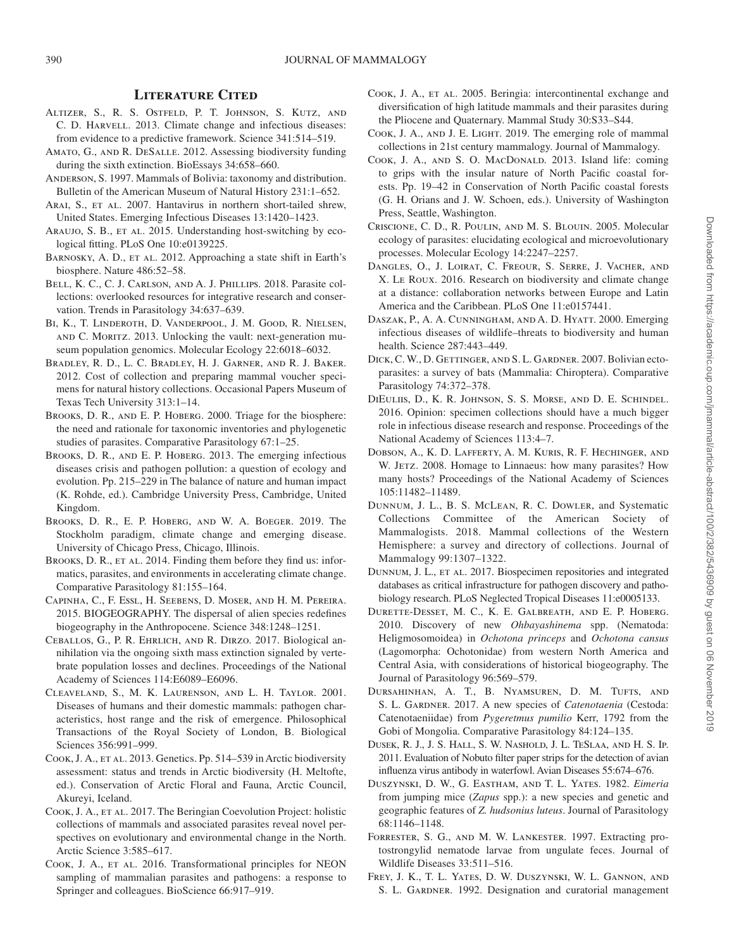#### **Literature Cited**

- <span id="page-10-14"></span>Altizer, S., R. S. Ostfeld, P. T. Johnson, S. Kutz, and C. D. HARVELL. 2013. Climate change and infectious diseases: from evidence to a predictive framework. Science 341:514–519.
- <span id="page-10-30"></span>Amato, G., and R. DeSalle. 2012. Assessing biodiversity funding during the sixth extinction. BioEssays 34:658–660.
- <span id="page-10-21"></span>Anderson, S. 1997. Mammals of Bolivia: taxonomy and distribution. Bulletin of the American Museum of Natural History 231:1–652.
- <span id="page-10-26"></span>ARAI, S., ET AL. 2007. Hantavirus in northern short-tailed shrew, United States. Emerging Infectious Diseases 13:1420–1423.
- <span id="page-10-15"></span>ARAUJO, S. B., ET AL. 2015. Understanding host-switching by ecological fitting. PLoS One 10:e0139225.
- <span id="page-10-0"></span>BARNOSKY, A. D., ET AL. 2012. Approaching a state shift in Earth's biosphere. Nature 486:52–58.
- <span id="page-10-28"></span>Bell, K. C., C. J. Carlson, and A. J. Phillips. 2018. Parasite collections: overlooked resources for integrative research and conservation. Trends in Parasitology 34:637–639.
- <span id="page-10-7"></span>BI, K., T. LINDEROTH, D. VANDERPOOL, J. M. GOOD, R. NIELSEN, and C. Moritz. 2013. Unlocking the vault: next-generation museum population genomics. Molecular Ecology 22:6018–6032.
- <span id="page-10-32"></span>Bradley, R. D., L. C. Bradley, H. J. Garner, and R. J. Baker. 2012. Cost of collection and preparing mammal voucher specimens for natural history collections. Occasional Papers Museum of Texas Tech University 313:1–14.
- <span id="page-10-18"></span>Brooks, D. R., and E. P. Hoberg. 2000. Triage for the biosphere: the need and rationale for taxonomic inventories and phylogenetic studies of parasites. Comparative Parasitology 67:1–25.
- <span id="page-10-4"></span>BROOKS, D. R., AND E. P. HOBERG. 2013. The emerging infectious diseases crisis and pathogen pollution: a question of ecology and evolution. Pp. 215–229 in The balance of nature and human impact (K. Rohde, ed.). Cambridge University Press, Cambridge, United Kingdom.
- <span id="page-10-6"></span>BROOKS, D. R., E. P. HOBERG, AND W. A. BOEGER. 2019. The Stockholm paradigm, climate change and emerging disease. University of Chicago Press, Chicago, Illinois.
- <span id="page-10-5"></span>BROOKS, D. R., ET AL. 2014. Finding them before they find us: informatics, parasites, and environments in accelerating climate change. Comparative Parasitology 81:155–164.
- <span id="page-10-1"></span>Capinha, C., F. Essl, H. Seebens, D. Moser, and H. M. Pereira. 2015. BIOGEOGRAPHY. The dispersal of alien species redefines biogeography in the Anthropocene. Science 348:1248–1251.
- <span id="page-10-2"></span>Ceballos, G., P. R. Ehrlich, and R. Dirzo. 2017. Biological annihilation via the ongoing sixth mass extinction signaled by vertebrate population losses and declines. Proceedings of the National Academy of Sciences 114:E6089–E6096.
- <span id="page-10-10"></span>Cleaveland, S., M. K. Laurenson, and L. H. Taylor. 2001. Diseases of humans and their domestic mammals: pathogen characteristics, host range and the risk of emergence. Philosophical Transactions of the Royal Society of London, B. Biological Sciences 356:991–999.
- <span id="page-10-16"></span>COOK, J. A., ET AL. 2013. Genetics. Pp. 514–539 in Arctic biodiversity assessment: status and trends in Arctic biodiversity (H. Meltofte, ed.). Conservation of Arctic Floral and Fauna, Arctic Council, Akureyi, Iceland.
- <span id="page-10-17"></span>COOK, J. A., ET AL. 2017. The Beringian Coevolution Project: holistic collections of mammals and associated parasites reveal novel perspectives on evolutionary and environmental change in the North. Arctic Science 3:585–617.
- <span id="page-10-31"></span>COOK, J. A., ET AL. 2016. Transformational principles for NEON sampling of mammalian parasites and pathogens: a response to Springer and colleagues. BioScience 66:917–919.
- <span id="page-10-22"></span>COOK, J. A., ET AL. 2005. Beringia: intercontinental exchange and diversification of high latitude mammals and their parasites during the Pliocene and Quaternary. Mammal Study 30:S33–S44.
- <span id="page-10-9"></span>Cook, J. A., and J. E. Light. 2019. The emerging role of mammal collections in 21st century mammalogy. Journal of Mammalogy.
- <span id="page-10-25"></span>COOK, J. A., AND S. O. MACDONALD. 2013. Island life: coming to grips with the insular nature of North Pacific coastal forests. Pp. 19–42 in Conservation of North Pacific coastal forests (G. H. Orians and J. W. Schoen, eds.). University of Washington Press, Seattle, Washington.
- <span id="page-10-11"></span>Criscione, C. D., R. Poulin, and M. S. Blouin. 2005. Molecular ecology of parasites: elucidating ecological and microevolutionary processes. Molecular Ecology 14:2247–2257.
- <span id="page-10-35"></span>DANGLES, O., J. LOIRAT, C. FREOUR, S. SERRE, J. VACHER, AND X. Le Roux. 2016. Research on biodiversity and climate change at a distance: collaboration networks between Europe and Latin America and the Caribbean. PLoS One 11:e0157441.
- <span id="page-10-3"></span>Daszak, P., A. A. Cunningham, and A. D. Hyatt. 2000. Emerging infectious diseases of wildlife–threats to biodiversity and human health. Science 287:443–449.
- <span id="page-10-24"></span>DICK, C. W., D. GETTINGER, AND S. L. GARDNER. 2007. Bolivian ectoparasites: a survey of bats (Mammalia: Chiroptera). Comparative Parasitology 74:372–378.
- <span id="page-10-13"></span>DiEuliis, D., K. R. Johnson, S. S. Morse, and D. E. Schindel. 2016. Opinion: specimen collections should have a much bigger role in infectious disease research and response. Proceedings of the National Academy of Sciences 113:4–7.
- <span id="page-10-12"></span>Dobson, A., K. D. Lafferty, A. M. Kuris, R. F. Hechinger, and W. JETZ. 2008. Homage to Linnaeus: how many parasites? How many hosts? Proceedings of the National Academy of Sciences 105:11482–11489.
- <span id="page-10-29"></span>Dunnum, J. L., B. S. McLean, R. C. Dowler, and Systematic Collections Committee of the American Society of Mammalogists. 2018. Mammal collections of the Western Hemisphere: a survey and directory of collections. Journal of Mammalogy 99:1307–1322.
- <span id="page-10-8"></span>DUNNUM, J. L., ET AL. 2017. Biospecimen repositories and integrated databases as critical infrastructure for pathogen discovery and pathobiology research. PLoS Neglected Tropical Diseases 11:e0005133.
- <span id="page-10-19"></span>Durette-Desset, M. C., K. E. Galbreath, and E. P. Hoberg. 2010. Discovery of new *Ohbayashinema* spp. (Nematoda: Heligmosomoidea) in *Ochotona princeps* and *Ochotona cansus* (Lagomorpha: Ochotonidae) from western North America and Central Asia, with considerations of historical biogeography. The Journal of Parasitology 96:569–579.
- <span id="page-10-27"></span>Dursahinhan, A. T., B. Nyamsuren, D. M. Tufts, and S. L. GARDNER. 2017. A new species of *Catenotaenia* (Cestoda: Catenotaeniidae) from *Pygeretmus pumilio* Kerr, 1792 from the Gobi of Mongolia. Comparative Parasitology 84:124–135.
- <span id="page-10-34"></span>Dusek, R. J., J. S. Hall, S. W. Nashold, J. L. TeSlaa, and H. S. Ip. 2011. Evaluation of Nobuto filter paper strips for the detection of avian influenza virus antibody in waterfowl. Avian Diseases 55:674–676.
- <span id="page-10-23"></span>Duszynski, D. W., G. Eastham, and T. L. Yates. 1982. *Eimeria* from jumping mice (*Zapus* spp.): a new species and genetic and geographic features of *Z. hudsonius luteus*. Journal of Parasitology 68:1146–1148.
- <span id="page-10-33"></span>FORRESTER, S. G., AND M. W. LANKESTER. 1997. Extracting protostrongylid nematode larvae from ungulate feces. Journal of Wildlife Diseases 33:511–516.
- <span id="page-10-20"></span>FREY, J. K., T. L. YATES, D. W. DUSZYNSKI, W. L. GANNON, AND S. L. GARDNER. 1992. Designation and curatorial management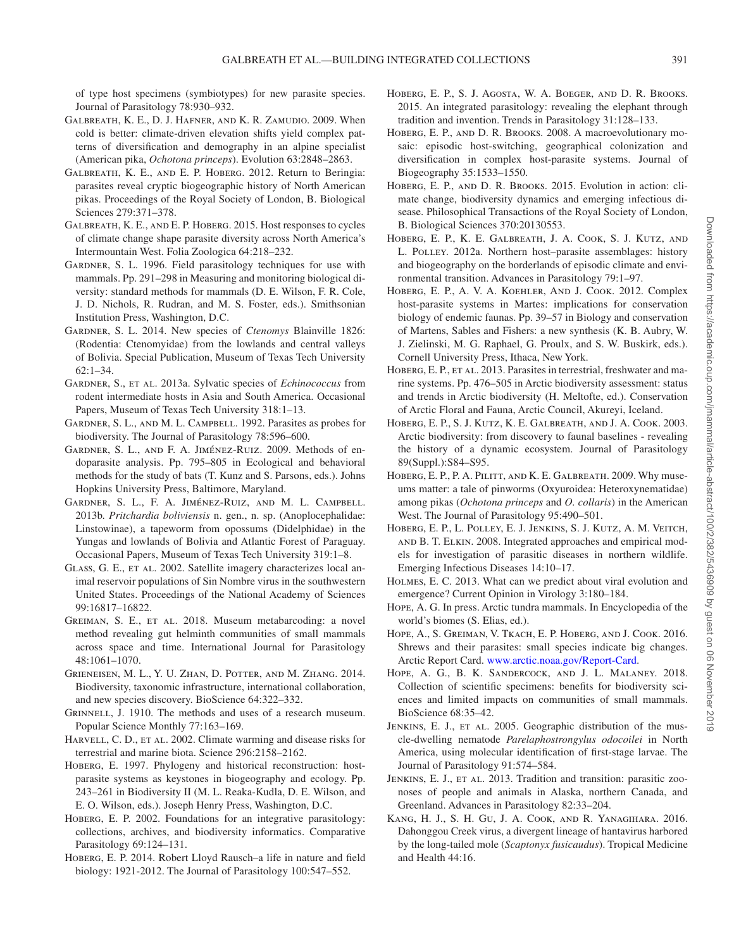of type host specimens (symbiotypes) for new parasite species. Journal of Parasitology 78:930–932.

- <span id="page-11-11"></span>Galbreath, K. E., D. J. Hafner, and K. R. Zamudio. 2009. When cold is better: climate-driven elevation shifts yield complex patterns of diversification and demography in an alpine specialist (American pika, *Ochotona princeps*). Evolution 63:2848–2863.
- <span id="page-11-12"></span>Galbreath, K. E., and E. P. Hoberg. 2012. Return to Beringia: parasites reveal cryptic biogeographic history of North American pikas. Proceedings of the Royal Society of London, B. Biological Sciences 279:371–378.
- <span id="page-11-13"></span>Galbreath, K. E., and E. P. Hoberg. 2015. Host responses to cycles of climate change shape parasite diversity across North America's Intermountain West. Folia Zoologica 64:218–232.
- <span id="page-11-16"></span>GARDNER, S. L. 1996. Field parasitology techniques for use with mammals. Pp. 291–298 in Measuring and monitoring biological diversity: standard methods for mammals (D. E. Wilson, F. R. Cole, J. D. Nichols, R. Rudran, and M. S. Foster, eds.). Smithsonian Institution Press, Washington, D.C.
- <span id="page-11-25"></span>Gardner, S. L. 2014. New species of *Ctenomys* Blainville 1826: (Rodentia: Ctenomyidae) from the lowlands and central valleys of Bolivia. Special Publication, Museum of Texas Tech University 62:1–34.
- <span id="page-11-18"></span>Gardner, S., et al. 2013a. Sylvatic species of *Echinococcus* from rodent intermediate hosts in Asia and South America. Occasional Papers, Museum of Texas Tech University 318:1–13.
- <span id="page-11-10"></span>Gardner, S. L., and M. L. Campbell. 1992. Parasites as probes for biodiversity. The Journal of Parasitology 78:596–600.
- <span id="page-11-17"></span>Gardner, S. L., and F. A. Jiménez-Ruiz. 2009. Methods of endoparasite analysis. Pp. 795–805 in Ecological and behavioral methods for the study of bats (T. Kunz and S. Parsons, eds.). Johns Hopkins University Press, Baltimore, Maryland.
- <span id="page-11-19"></span>Gardner, S. L., F. A. Jiménez-Ruiz, and M. L. Campbell. 2013b. *Pritchardia boliviensis* n. gen., n. sp. (Anoplocephalidae: Linstowinae), a tapeworm from opossums (Didelphidae) in the Yungas and lowlands of Bolivia and Atlantic Forest of Paraguay. Occasional Papers, Museum of Texas Tech University 319:1–8.
- <span id="page-11-20"></span>GLASS, G. E., ET AL. 2002. Satellite imagery characterizes local animal reservoir populations of Sin Nombre virus in the southwestern United States. Proceedings of the National Academy of Sciences 99:16817–16822.
- <span id="page-11-28"></span>GREIMAN, S. E., ET AL. 2018. Museum metabarcoding: a novel method revealing gut helminth communities of small mammals across space and time. International Journal for Parasitology 48:1061–1070.
- <span id="page-11-31"></span>Grieneisen, M. L., Y. U. Zhan, D. Potter, and M. Zhang. 2014. Biodiversity, taxonomic infrastructure, international collaboration, and new species discovery. BioScience 64:322–332.
- <span id="page-11-2"></span>GRINNELL, J. 1910. The methods and uses of a research museum. Popular Science Monthly 77:163–169.
- <span id="page-11-0"></span>HARVELL, C. D., ET AL. 2002. Climate warming and disease risks for terrestrial and marine biota. Science 296:2158–2162.
- <span id="page-11-4"></span>HOBERG, E. 1997. Phylogeny and historical reconstruction: hostparasite systems as keystones in biogeography and ecology. Pp. 243–261 in Biodiversity II (M. L. Reaka-Kudla, D. E. Wilson, and E. O. Wilson, eds.). Joseph Henry Press, Washington, D.C.
- <span id="page-11-29"></span>HOBERG, E. P. 2002. Foundations for an integrative parasitology: collections, archives, and biodiversity informatics. Comparative Parasitology 69:124–131.
- <span id="page-11-30"></span>Hoberg, E. P. 2014. Robert Lloyd Rausch–a life in nature and field biology: 1921-2012. The Journal of Parasitology 100:547–552.
- <span id="page-11-5"></span>HOBERG, E. P., S. J. AGOSTA, W. A. BOEGER, AND D. R. BROOKS. 2015. An integrated parasitology: revealing the elephant through tradition and invention. Trends in Parasitology 31:128–133.
- <span id="page-11-6"></span>Hoberg, E. P., and D. R. Brooks. 2008. A macroevolutionary mosaic: episodic host-switching, geographical colonization and diversification in complex host-parasite systems. Journal of Biogeography 35:1533–1550.
- <span id="page-11-7"></span>HOBERG, E. P., AND D. R. BROOKS. 2015. Evolution in action: climate change, biodiversity dynamics and emerging infectious disease. Philosophical Transactions of the Royal Society of London, B. Biological Sciences 370:20130553.
- <span id="page-11-14"></span>HOBERG, E. P., K. E. GALBREATH, J. A. COOK, S. J. KUTZ, AND L. Polley. 2012a. Northern host–parasite assemblages: history and biogeography on the borderlands of episodic climate and environmental transition. Advances in Parasitology 79:1–97.
- Hoberg, E. P., A. V. A. Koehler, And J. Cook. 2012. Complex host-parasite systems in Martes: implications for conservation biology of endemic faunas. Pp. 39–57 in Biology and conservation of Martens, Sables and Fishers: a new synthesis (K. B. Aubry, W. J. Zielinski, M. G. Raphael, G. Proulx, and S. W. Buskirk, eds.). Cornell University Press, Ithaca, New York.
- <span id="page-11-9"></span>HOBERG, E. P., ET AL. 2013. Parasites in terrestrial, freshwater and marine systems. Pp. 476–505 in Arctic biodiversity assessment: status and trends in Arctic biodiversity (H. Meltofte, ed.). Conservation of Arctic Floral and Fauna, Arctic Council, Akureyi, Iceland.
- <span id="page-11-23"></span>Hoberg, E. P., S. J. Kutz, K. E. Galbreath, and J. A. Cook. 2003. Arctic biodiversity: from discovery to faunal baselines - revealing the history of a dynamic ecosystem. Journal of Parasitology 89(Suppl.):S84–S95.
- <span id="page-11-15"></span>HOBERG, E. P., P. A. PILITT, AND K. E. GALBREATH. 2009. Why museums matter: a tale of pinworms (Oxyuroidea: Heteroxynematidae) among pikas (*Ochotona princeps* and *O. collaris*) in the American West. The Journal of Parasitology 95:490–501.
- <span id="page-11-22"></span>Hoberg, E. P., L. Polley, E. J. Jenkins, S. J. Kutz, A. M. Veitch, and B. T. Elkin. 2008. Integrated approaches and empirical models for investigation of parasitic diseases in northern wildlife. Emerging Infectious Diseases 14:10–17.
- <span id="page-11-1"></span>Holmes, E. C. 2013. What can we predict about viral evolution and emergence? Current Opinion in Virology 3:180–184.
- <span id="page-11-27"></span>Hope, A. G. In press. Arctic tundra mammals. In Encyclopedia of the world's biomes (S. Elias, ed.).
- <span id="page-11-26"></span>Hope, A., S. Greiman, V. Tkach, E. P. Hoberg, and J. Cook. 2016. Shrews and their parasites: small species indicate big changes. Arctic Report Card. [www.arctic.noaa.gov/Report-Card](http://www.arctic.noaa.gov/Report-Card﻿).
- <span id="page-11-3"></span>HOPE, A. G., B. K. SANDERCOCK, AND J. L. MALANEY. 2018. Collection of scientific specimens: benefits for biodiversity sciences and limited impacts on communities of small mammals. BioScience 68:35–42.
- <span id="page-11-21"></span>JENKINS, E. J., ET AL. 2005. Geographic distribution of the muscle-dwelling nematode *Parelaphostrongylus odocoilei* in North America, using molecular identification of first-stage larvae. The Journal of Parasitology 91:574–584.
- <span id="page-11-8"></span>JENKINS, E. J., ET AL. 2013. Tradition and transition: parasitic zoonoses of people and animals in Alaska, northern Canada, and Greenland. Advances in Parasitology 82:33–204.
- <span id="page-11-24"></span>Kang, H. J., S. H. Gu, J. A. Cook, and R. Yanagihara. 2016. Dahonggou Creek virus, a divergent lineage of hantavirus harbored by the long-tailed mole (*Scaptonyx fusicaudus*). Tropical Medicine and Health 44:16.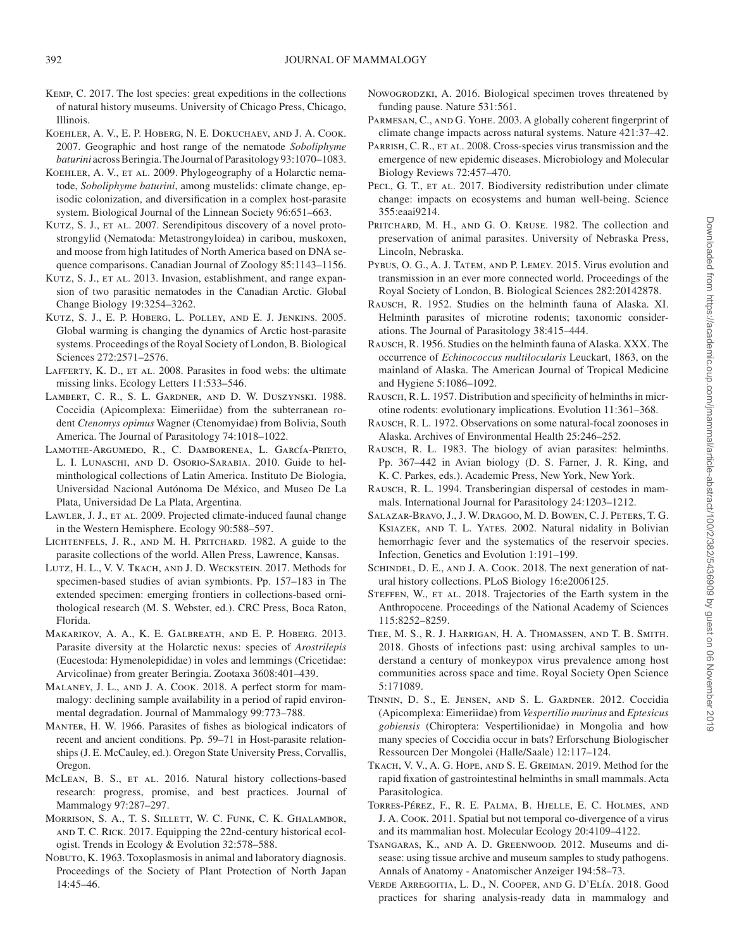- <span id="page-12-14"></span>Kemp, C. 2017. The lost species: great expeditions in the collections of natural history museums. University of Chicago Press, Chicago, Illinois.
- <span id="page-12-23"></span>Koehler, A. V., E. P. Hoberg, N. E. Dokuchaev, and J. A. Cook. 2007. Geographic and host range of the nematode *Soboliphyme baturini* across Beringia. The Journal of Parasitology 93:1070–1083.
- <span id="page-12-24"></span>Koehler, A. V., et al. 2009. Phylogeography of a Holarctic nematode, *Soboliphyme baturini*, among mustelids: climate change, episodic colonization, and diversification in a complex host-parasite system. Biological Journal of the Linnean Society 96:651–663.
- <span id="page-12-27"></span>KUTZ, S. J., ET AL. 2007. Serendipitous discovery of a novel protostrongylid (Nematoda: Metastrongyloidea) in caribou, muskoxen, and moose from high latitudes of North America based on DNA sequence comparisons. Canadian Journal of Zoology 85:1143–1156.
- <span id="page-12-28"></span>KUTZ, S. J., ET AL. 2013. Invasion, establishment, and range expansion of two parasitic nematodes in the Canadian Arctic. Global Change Biology 19:3254–3262.
- <span id="page-12-26"></span>KUTZ, S. J., E. P. HOBERG, L. POLLEY, AND E. J. JENKINS. 2005. Global warming is changing the dynamics of Arctic host-parasite systems. Proceedings of the Royal Society of London, B. Biological Sciences 272:2571–2576.
- <span id="page-12-8"></span>LAFFERTY, K. D., ET AL. 2008. Parasites in food webs: the ultimate missing links. Ecology Letters 11:533–546.
- <span id="page-12-22"></span>LAMBERT, C. R., S. L. GARDNER, AND D. W. DUSZYNSKI. 1988. Coccidia (Apicomplexa: Eimeriidae) from the subterranean rodent *Ctenomys opimus* Wagner (Ctenomyidae) from Bolivia, South America. The Journal of Parasitology 74:1018–1022.
- <span id="page-12-30"></span>Lamothe-Argumedo, R., C. Damborenea, L. García-Prieto, L. I. LUNASCHI, AND D. OSORIO-SARABIA. 2010. Guide to helminthological collections of Latin America. Instituto De Biologia, Universidad Nacional Autónoma De México, and Museo De La Plata, Universidad De La Plata, Argentina.
- <span id="page-12-1"></span>LAWLER, J. J., ET AL. 2009. Projected climate-induced faunal change in the Western Hemisphere. Ecology 90:588–597.
- <span id="page-12-31"></span>LICHTENFELS, J. R., AND M. H. PRITCHARD. 1982. A guide to the parasite collections of the world. Allen Press, Lawrence, Kansas.
- <span id="page-12-35"></span>Lutz, H. L., V. V. Tkach, and J. D. Weckstein. 2017. Methods for specimen-based studies of avian symbionts. Pp. 157–183 in The extended specimen: emerging frontiers in collections-based ornithological research (M. S. Webster, ed.). CRC Press, Boca Raton, Florida.
- <span id="page-12-29"></span>MAKARIKOV, A. A., K. E. GALBREATH, AND E. P. HOBERG. 2013. Parasite diversity at the Holarctic nexus: species of *Arostrilepis* (Eucestoda: Hymenolepididae) in voles and lemmings (Cricetidae: Arvicolinae) from greater Beringia. Zootaxa 3608:401–439.
- <span id="page-12-6"></span>Malaney, J. L., and J. A. Cook. 2018. A perfect storm for mammalogy: declining sample availability in a period of rapid environmental degradation. Journal of Mammalogy 99:773–788.
- <span id="page-12-9"></span>Manter, H. W. 1966. Parasites of fishes as biological indicators of recent and ancient conditions. Pp. 59–71 in Host-parasite relationships (J. E. McCauley, ed.). Oregon State University Press, Corvallis, Oregon.
- <span id="page-12-5"></span>McLean, B. S., et al. 2016. Natural history collections-based research: progress, promise, and best practices. Journal of Mammalogy 97:287–297.
- <span id="page-12-33"></span>Morrison, S. A., T. S. Sillett, W. C. Funk, C. K. Ghalambor, and T. C. Rick. 2017. Equipping the 22nd-century historical ecologist. Trends in Ecology & Evolution 32:578–588.
- <span id="page-12-38"></span>NOBUTO, K. 1963. Toxoplasmosis in animal and laboratory diagnosis. Proceedings of the Society of Plant Protection of North Japan 14:45–46.
- <span id="page-12-32"></span>Nowogrodzki, A. 2016. Biological specimen troves threatened by funding pause. Nature 531:561.
- <span id="page-12-0"></span>PARMESAN, C., AND G. YOHE. 2003. A globally coherent fingerprint of climate change impacts across natural systems. Nature 421:37–42.
- <span id="page-12-10"></span>PARRISH, C. R., ET AL. 2008. Cross-species virus transmission and the emergence of new epidemic diseases. Microbiology and Molecular Biology Reviews 72:457–470.
- <span id="page-12-2"></span>PECL, G. T., ET AL. 2017. Biodiversity redistribution under climate change: impacts on ecosystems and human well-being. Science 355:eaai9214.
- <span id="page-12-34"></span>PRITCHARD, M. H., AND G. O. KRUSE. 1982. The collection and preservation of animal parasites. University of Nebraska Press, Lincoln, Nebraska.
- <span id="page-12-11"></span>Pybus, O. G., A. J. Tatem, and P. Lemey. 2015. Virus evolution and transmission in an ever more connected world. Proceedings of the Royal Society of London, B. Biological Sciences 282:20142878.
- <span id="page-12-12"></span>Rausch, R. 1952. Studies on the helminth fauna of Alaska. XI. Helminth parasites of microtine rodents; taxonomic considerations. The Journal of Parasitology 38:415–444.
- <span id="page-12-13"></span>Rausch, R. 1956. Studies on the helminth fauna of Alaska. XXX. The occurrence of *Echinococcus multilocularis* Leuckart, 1863, on the mainland of Alaska. The American Journal of Tropical Medicine and Hygiene 5:1086–1092.
- <span id="page-12-16"></span>Rausch, R. L. 1957. Distribution and specificity of helminths in microtine rodents: evolutionary implications. Evolution 11:361–368.
- <span id="page-12-18"></span>Rausch, R. L. 1972. Observations on some natural-focal zoonoses in Alaska. Archives of Environmental Health 25:246–252.
- <span id="page-12-15"></span>RAUSCH, R. L. 1983. The biology of avian parasites: helminths. Pp. 367–442 in Avian biology (D. S. Farner, J. R. King, and K. C. Parkes, eds.). Academic Press, New York, New York.
- <span id="page-12-17"></span>Rausch, R. L. 1994. Transberingian dispersal of cestodes in mammals. International Journal for Parasitology 24:1203–1212.
- <span id="page-12-19"></span>Salazar-Bravo, J., J. W. Dragoo, M. D. Bowen, C. J. Peters, T. G. KSIAZEK, AND T. L. YATES. 2002. Natural nidality in Bolivian hemorrhagic fever and the systematics of the reservoir species. Infection, Genetics and Evolution 1:191–199.
- <span id="page-12-7"></span>SCHINDEL, D. E., AND J. A. COOK. 2018. The next generation of natural history collections. PLoS Biology 16:e2006125.
- <span id="page-12-3"></span>STEFFEN, W., ET AL. 2018. Trajectories of the Earth system in the Anthropocene. Proceedings of the National Academy of Sciences 115:8252–8259.
- <span id="page-12-4"></span>Tiee, M. S., R. J. Harrigan, H. A. Thomassen, and T. B. Smith. 2018. Ghosts of infections past: using archival samples to understand a century of monkeypox virus prevalence among host communities across space and time. Royal Society Open Science 5:171089.
- <span id="page-12-20"></span>Tinnin, D. S., E. Jensen, and S. L. Gardner. 2012. Coccidia (Apicomplexa: Eimeriidae) from *Vespertilio murinus* and *Eptesicus gobiensis* (Chiroptera: Vespertilionidae) in Mongolia and how many species of Coccidia occur in bats? Erforschung Biologischer Ressourcen Der Mongolei (Halle/Saale) 12:117–124.
- <span id="page-12-36"></span>Tkach, V. V., A. G. Hope, and S. E. Greiman. 2019. Method for the rapid fixation of gastrointestinal helminths in small mammals. Acta Parasitologica.
- <span id="page-12-25"></span>Torres-Pérez, F., R. E. Palma, B. Hjelle, E. C. Holmes, and J. A. Cook. 2011. Spatial but not temporal co-divergence of a virus and its mammalian host. Molecular Ecology 20:4109–4122.
- <span id="page-12-21"></span>Tsangaras, K., and A. D. Greenwood. 2012. Museums and disease: using tissue archive and museum samples to study pathogens. Annals of Anatomy - Anatomischer Anzeiger 194:58–73.
- <span id="page-12-37"></span>Verde Arregoitia, L. D., N. Cooper, and G. D'Elía. 2018. Good practices for sharing analysis-ready data in mammalogy and